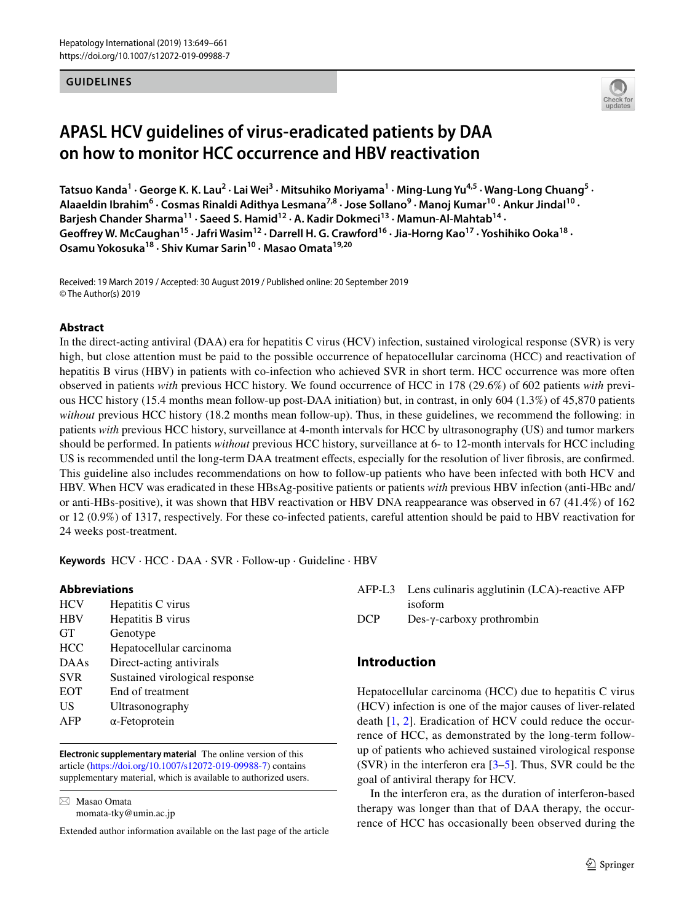#### **GUIDELINES**



# **APASL HCV guidelines of virus‑eradicated patients by DAA on how to monitor HCC occurrence and HBV reactivation**

Tatsuo Kanda<sup>1</sup> • George K. K. Lau<sup>2</sup> • Lai Wei<sup>3</sup> • Mitsuhiko Moriyama<sup>1</sup> • Ming-Lung Yu<sup>4,5</sup> • Wang-Long Chuang<sup>5</sup> • Alaaeldin Ibrahim<sup>6</sup> · Cosmas Rinaldi Adithya Lesmana<sup>7,8</sup> · Jose Sollano<sup>9</sup> · Manoj Kumar<sup>10</sup> · Ankur Jindal<sup>10</sup> · Barjesh Chander Sharma<sup>11</sup> · Saeed S. Hamid<sup>12</sup> · A. Kadir Dokmeci<sup>13</sup> · Mamun-Al-Mahtab<sup>14</sup> · Geoffrey W. McCaughan<sup>15</sup> · Jafri Wasim<sup>12</sup> · Darrell H. G. Crawford<sup>16</sup> · Jia-Horng Kao<sup>17</sup> · Yoshihiko Ooka<sup>18</sup> · **Osamu Yokosuka18 · Shiv Kumar Sarin10 · Masao Omata19,20**

Received: 19 March 2019 / Accepted: 30 August 2019 / Published online: 20 September 2019 © The Author(s) 2019

#### **Abstract**

In the direct-acting antiviral (DAA) era for hepatitis C virus (HCV) infection, sustained virological response (SVR) is very high, but close attention must be paid to the possible occurrence of hepatocellular carcinoma (HCC) and reactivation of hepatitis B virus (HBV) in patients with co-infection who achieved SVR in short term. HCC occurrence was more often observed in patients *with* previous HCC history. We found occurrence of HCC in 178 (29.6%) of 602 patients *with* previous HCC history (15.4 months mean follow-up post-DAA initiation) but, in contrast, in only 604 (1.3%) of 45,870 patients *without* previous HCC history (18.2 months mean follow-up). Thus, in these guidelines, we recommend the following: in patients *with* previous HCC history, surveillance at 4-month intervals for HCC by ultrasonography (US) and tumor markers should be performed. In patients *without* previous HCC history, surveillance at 6- to 12-month intervals for HCC including US is recommended until the long-term DAA treatment efects, especially for the resolution of liver fbrosis, are confrmed. This guideline also includes recommendations on how to follow-up patients who have been infected with both HCV and HBV. When HCV was eradicated in these HBsAg-positive patients or patients *with* previous HBV infection (anti-HBc and/ or anti-HBs-positive), it was shown that HBV reactivation or HBV DNA reappearance was observed in 67 (41.4%) of 162 or 12 (0.9%) of 1317, respectively. For these co-infected patients, careful attention should be paid to HBV reactivation for 24 weeks post-treatment.

**Keywords** HCV · HCC · DAA · SVR · Follow-up · Guideline · HBV

#### **Abbreviations**

| <b>HCV</b>  | Hepatitis C virus              |
|-------------|--------------------------------|
| <b>HBV</b>  | Hepatitis B virus              |
| <b>GT</b>   | Genotype                       |
| <b>HCC</b>  | Hepatocellular carcinoma       |
| <b>DAAs</b> | Direct-acting antivirals       |
| <b>SVR</b>  | Sustained virological response |
| <b>EOT</b>  | End of treatment               |
| US          | Ultrasonography                |
| AFP         | $\alpha$ -Fetoprotein          |
|             |                                |

**Electronic supplementary material** The online version of this article [\(https://doi.org/10.1007/s12072-019-09988-7\)](https://doi.org/10.1007/s12072-019-09988-7) contains supplementary material, which is available to authorized users.

 $\boxtimes$  Masao Omata momata-tky@umin.ac.jp

Extended author information available on the last page of the article

|            | AFP-L3 Lens culinaris agglutinin (LCA)-reactive AFP |
|------------|-----------------------------------------------------|
|            | isoform                                             |
| <b>DCP</b> | $Des-\gamma$ -carboxy prothrombin                   |

# **Introduction**

Hepatocellular carcinoma (HCC) due to hepatitis C virus (HCV) infection is one of the major causes of liver-related death [[1](#page-8-0), [2\]](#page-8-1). Eradication of HCV could reduce the occurrence of HCC, as demonstrated by the long-term followup of patients who achieved sustained virological response (SVR) in the interferon era  $[3-5]$  $[3-5]$ . Thus, SVR could be the goal of antiviral therapy for HCV.

In the interferon era, as the duration of interferon-based therapy was longer than that of DAA therapy, the occurrence of HCC has occasionally been observed during the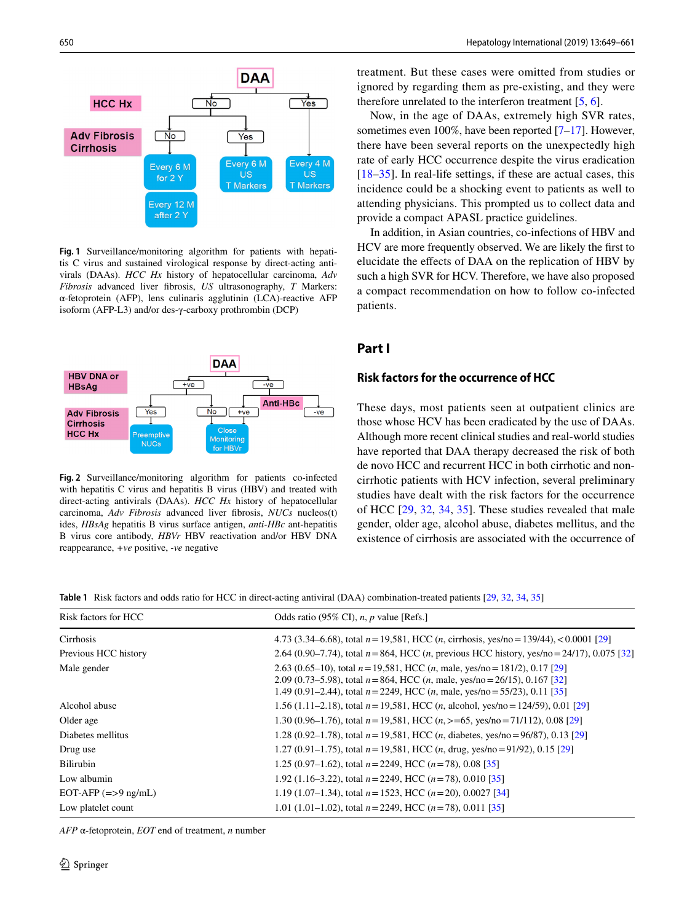

<span id="page-1-1"></span>**Fig. 1** Surveillance/monitoring algorithm for patients with hepatitis C virus and sustained virological response by direct-acting antivirals (DAAs). *HCC Hx* history of hepatocellular carcinoma, *Adv Fibrosis* advanced liver fbrosis, *US* ultrasonography, *T* Markers: α-fetoprotein (AFP), lens culinaris agglutinin (LCA)-reactive AFP isoform (AFP-L3) and/or des-γ-carboxy prothrombin (DCP)



<span id="page-1-2"></span>**Fig. 2** Surveillance/monitoring algorithm for patients co-infected with hepatitis C virus and hepatitis B virus (HBV) and treated with direct-acting antivirals (DAAs). *HCC Hx* history of hepatocellular carcinoma, *Adv Fibrosis* advanced liver fbrosis, *NUCs* nucleos(t) ides, *HBsAg* hepatitis B virus surface antigen, *anti-HBc* ant-hepatitis B virus core antibody, *HBVr* HBV reactivation and/or HBV DNA reappearance, *+ve* positive, *-ve* negative

treatment. But these cases were omitted from studies or ignored by regarding them as pre-existing, and they were therefore unrelated to the interferon treatment [\[5](#page-9-0), [6](#page-9-1)].

Now, in the age of DAAs, extremely high SVR rates, sometimes even 100%, have been reported [[7](#page-9-2)[–17](#page-9-3)]. However, there have been several reports on the unexpectedly high rate of early HCC occurrence despite the virus eradication [[18–](#page-9-4)[35](#page-9-5)]. In real-life settings, if these are actual cases, this incidence could be a shocking event to patients as well to attending physicians. This prompted us to collect data and provide a compact APASL practice guidelines.

In addition, in Asian countries, co-infections of HBV and HCV are more frequently observed. We are likely the frst to elucidate the efects of DAA on the replication of HBV by such a high SVR for HCV. Therefore, we have also proposed a compact recommendation on how to follow co-infected patients.

## **Part I**

## **Risk factors for the occurrence of HCC**

These days, most patients seen at outpatient clinics are those whose HCV has been eradicated by the use of DAAs. Although more recent clinical studies and real-world studies have reported that DAA therapy decreased the risk of both de novo HCC and recurrent HCC in both cirrhotic and noncirrhotic patients with HCV infection, several preliminary studies have dealt with the risk factors for the occurrence of HCC [[29,](#page-9-6) [32](#page-9-7), [34](#page-9-8), [35\]](#page-9-5). These studies revealed that male gender, older age, alcohol abuse, diabetes mellitus, and the existence of cirrhosis are associated with the occurrence of

<span id="page-1-0"></span>**Table 1** Risk factors and odds ratio for HCC in direct-acting antiviral (DAA) combination-treated patients [[29](#page-9-6), [32](#page-9-7), [34,](#page-9-8) [35\]](#page-9-5)

| Risk factors for HCC  | Odds ratio (95% CI), $n$ , $p$ value [Refs.]                                                                                                                                                                                                             |  |
|-----------------------|----------------------------------------------------------------------------------------------------------------------------------------------------------------------------------------------------------------------------------------------------------|--|
| Cirrhosis             | 4.73 (3.34–6.68), total $n = 19,581$ , HCC ( <i>n</i> , cirrhosis, yes/no = 139/44), < 0.0001 [29]                                                                                                                                                       |  |
| Previous HCC history  | 2.64 (0.90–7.74), total $n = 864$ , HCC (n, previous HCC history, yes/no = 24/17), 0.075 [32]                                                                                                                                                            |  |
| Male gender           | 2.63 (0.65–10), total $n = 19,581$ , HCC (n, male, yes/no = 181/2), 0.17 [29]<br>2.09 (0.73–5.98), total $n = 864$ , HCC (n, male, yes/no = 26/15), 0.167 [32]<br>1.49 (0.91–2.44), total $n = 2249$ , HCC ( <i>n</i> , male, yes/no = 55/23), 0.11 [35] |  |
| Alcohol abuse         | 1.56 (1.11–2.18), total $n = 19,581$ , HCC ( <i>n</i> , alcohol, yes/no = 124/59), 0.01 [29]                                                                                                                                                             |  |
| Older age             | 1.30 (0.96–1.76), total $n = 19,581$ , HCC ( $n > 65$ , yes/no = 71/112), 0.08 [29]                                                                                                                                                                      |  |
| Diabetes mellitus     | 1.28 (0.92–1.78), total $n = 19,581$ , HCC ( <i>n</i> , diabetes, yes/no = 96/87), 0.13 [29]                                                                                                                                                             |  |
| Drug use              | 1.27 (0.91–1.75), total $n = 19,581$ , HCC ( <i>n</i> , drug, yes/no = 91/92), 0.15 [29]                                                                                                                                                                 |  |
| <b>Bilirubin</b>      | 1.25 (0.97–1.62), total $n = 2249$ , HCC ( $n = 78$ ), 0.08 [35]                                                                                                                                                                                         |  |
| Low albumin           | 1.92 (1.16–3.22), total $n = 2249$ , HCC ( $n = 78$ ), 0.010 [35]                                                                                                                                                                                        |  |
| EOT-AFP $(=>9$ ng/mL) | 1.19 (1.07–1.34), total $n = 1523$ , HCC ( $n = 20$ ), 0.0027 [34]                                                                                                                                                                                       |  |
| Low platelet count    | 1.01 (1.01–1.02), total $n = 2249$ , HCC ( $n = 78$ ), 0.011 [35]                                                                                                                                                                                        |  |

*AFP* α-fetoprotein, *EOT* end of treatment, *n* number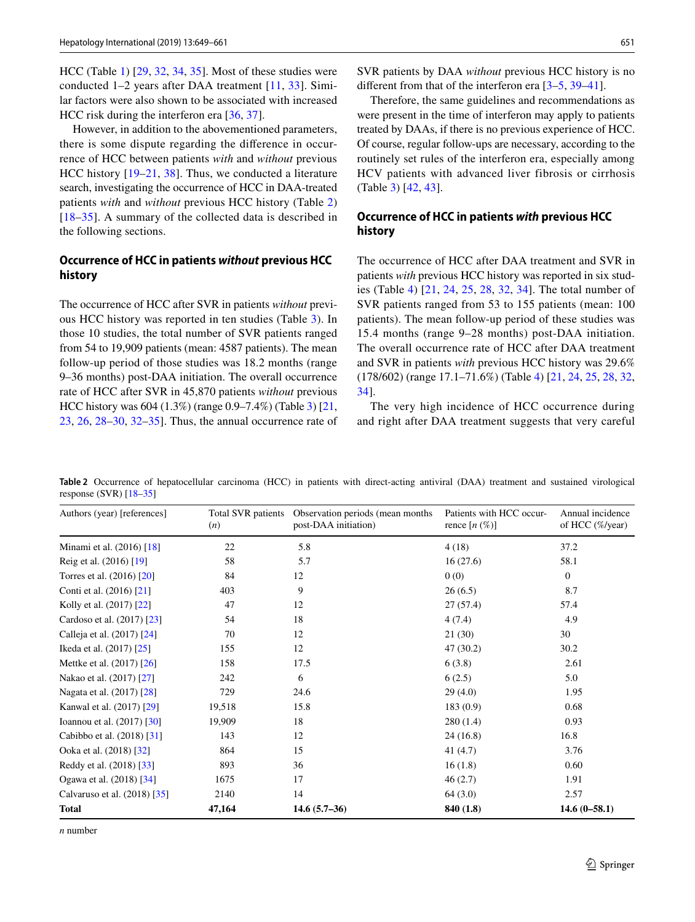HCC (Table [1\)](#page-1-0) [\[29](#page-9-6), [32,](#page-9-7) [34,](#page-9-8) [35\]](#page-9-5). Most of these studies were conducted 1–2 years after DAA treatment [\[11](#page-9-9), [33](#page-9-10)]. Similar factors were also shown to be associated with increased HCC risk during the interferon era [\[36](#page-10-0), [37](#page-10-1)].

However, in addition to the abovementioned parameters, there is some dispute regarding the diference in occurrence of HCC between patients *with* and *without* previous HCC history [[19–](#page-9-11)[21](#page-9-12), [38\]](#page-10-2). Thus, we conducted a literature search, investigating the occurrence of HCC in DAA-treated patients *with* and *without* previous HCC history (Table [2\)](#page-2-0) [\[18–](#page-9-4)[35](#page-9-5)]. A summary of the collected data is described in the following sections.

#### **Occurrence of HCC in patients** *without* **previous HCC history**

The occurrence of HCC after SVR in patients *without* previous HCC history was reported in ten studies (Table [3\)](#page-3-0). In those 10 studies, the total number of SVR patients ranged from 54 to 19,909 patients (mean: 4587 patients). The mean follow-up period of those studies was 18.2 months (range 9–36 months) post-DAA initiation. The overall occurrence rate of HCC after SVR in 45,870 patients *without* previous HCC history was 604 (1.3%) (range 0.9–7.4%) (Table [3](#page-3-0)) [[21,](#page-9-12) [23](#page-9-13), [26](#page-9-14), [28–](#page-9-15)[30,](#page-9-16) [32](#page-9-7)[–35](#page-9-5)]. Thus, the annual occurrence rate of SVR patients by DAA *without* previous HCC history is no different from that of the interferon era [\[3–](#page-8-2)[5,](#page-9-0) [39–](#page-10-3)[41\]](#page-10-4).

Therefore, the same guidelines and recommendations as were present in the time of interferon may apply to patients treated by DAAs, if there is no previous experience of HCC. Of course, regular follow-ups are necessary, according to the routinely set rules of the interferon era, especially among HCV patients with advanced liver fibrosis or cirrhosis (Table [3\)](#page-3-0) [[42,](#page-10-5) [43\]](#page-10-6).

## **Occurrence of HCC in patients** *with* **previous HCC history**

The occurrence of HCC after DAA treatment and SVR in patients *with* previous HCC history was reported in six studies (Table [4\)](#page-3-1) [\[21,](#page-9-12) [24](#page-9-17), [25,](#page-9-18) [28,](#page-9-15) [32](#page-9-7), [34](#page-9-8)]. The total number of SVR patients ranged from 53 to 155 patients (mean: 100 patients). The mean follow-up period of these studies was 15.4 months (range 9–28 months) post-DAA initiation. The overall occurrence rate of HCC after DAA treatment and SVR in patients *with* previous HCC history was 29.6% (178/602) (range 17.1–71.6%) (Table [4\)](#page-3-1) [[21](#page-9-12), [24](#page-9-17), [25,](#page-9-18) [28,](#page-9-15) [32,](#page-9-7) [34](#page-9-8)].

The very high incidence of HCC occurrence during and right after DAA treatment suggests that very careful

<span id="page-2-0"></span>**Table 2** Occurrence of hepatocellular carcinoma (HCC) in patients with direct-acting antiviral (DAA) treatment and sustained virological response (SVR) [[18](#page-9-4)–[35](#page-9-5)]

| Authors (year) [references]  | Total SVR patients<br>(n) | Observation periods (mean months)<br>post-DAA initiation) | Patients with HCC occur-<br>rence $[n \left( % \right)]$ | Annual incidence<br>of HCC $(\%$ /year) |
|------------------------------|---------------------------|-----------------------------------------------------------|----------------------------------------------------------|-----------------------------------------|
| Minami et al. (2016) [18]    | 22                        | 5.8                                                       | 4(18)                                                    | 37.2                                    |
| Reig et al. (2016) [19]      | 58                        | 5.7                                                       | 16(27.6)                                                 | 58.1                                    |
| Torres et al. (2016) [20]    | 84                        | 12                                                        | 0(0)                                                     | $\mathbf{0}$                            |
| Conti et al. (2016) [21]     | 403                       | 9                                                         | 26(6.5)                                                  | 8.7                                     |
| Kolly et al. (2017) [22]     | 47                        | 12                                                        | 27(57.4)                                                 | 57.4                                    |
| Cardoso et al. (2017) [23]   | 54                        | 18                                                        | 4(7.4)                                                   | 4.9                                     |
| Calleja et al. (2017) [24]   | 70                        | 12                                                        | 21(30)                                                   | 30                                      |
| Ikeda et al. (2017) [25]     | 155                       | 12                                                        | 47 (30.2)                                                | 30.2                                    |
| Mettke et al. (2017) [26]    | 158                       | 17.5                                                      | 6(3.8)                                                   | 2.61                                    |
| Nakao et al. (2017) [27]     | 242                       | 6                                                         | 6(2.5)                                                   | 5.0                                     |
| Nagata et al. (2017) [28]    | 729                       | 24.6                                                      | 29(4.0)                                                  | 1.95                                    |
| Kanwal et al. (2017) [29]    | 19,518                    | 15.8                                                      | 183(0.9)                                                 | 0.68                                    |
| Ioannou et al. (2017) [30]   | 19,909                    | 18                                                        | 280(1.4)                                                 | 0.93                                    |
| Cabibbo et al. (2018) [31]   | 143                       | 12                                                        | 24(16.8)                                                 | 16.8                                    |
| Ooka et al. (2018) [32]      | 864                       | 15                                                        | 41(4.7)                                                  | 3.76                                    |
| Reddy et al. (2018) [33]     | 893                       | 36                                                        | 16(1.8)                                                  | 0.60                                    |
| Ogawa et al. (2018) [34]     | 1675                      | 17                                                        | 46(2.7)                                                  | 1.91                                    |
| Calvaruso et al. (2018) [35] | 2140                      | 14                                                        | 64(3.0)                                                  | 2.57                                    |
| <b>Total</b>                 | 47,164                    | $14.6(5.7-36)$                                            | 840 (1.8)                                                | $14.6(0-58.1)$                          |

*n* number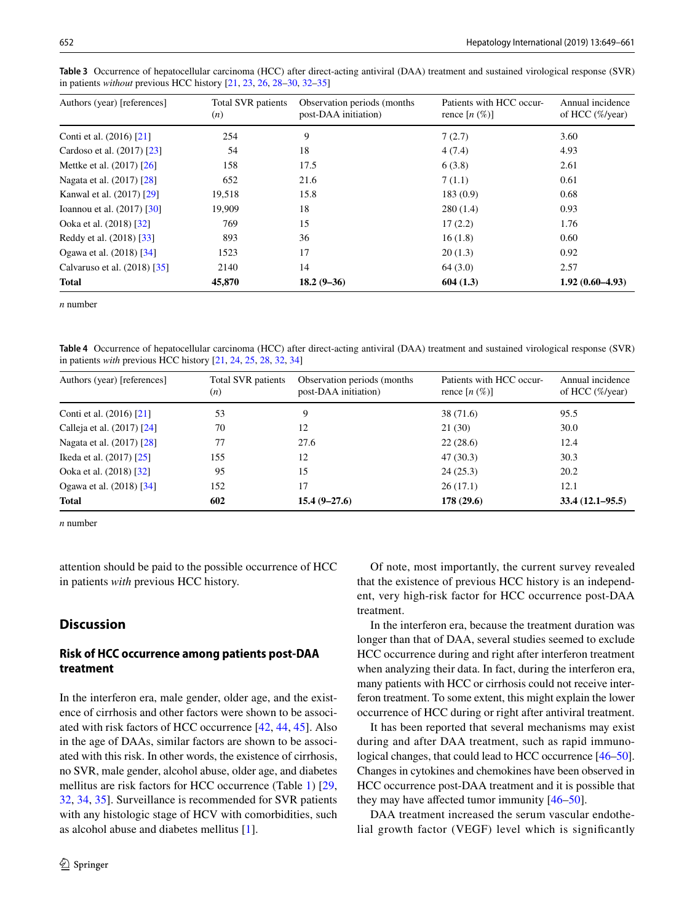| Authors (year) [references]  | Total SVR patients<br>(n) | Observation periods (months)<br>post-DAA initiation) | Patients with HCC occur-<br>rence $[n \ (\%)]$ | Annual incidence<br>of HCC $(\%$ /year) |
|------------------------------|---------------------------|------------------------------------------------------|------------------------------------------------|-----------------------------------------|
| Conti et al. (2016) [21]     | 254                       | 9                                                    | 7(2.7)                                         | 3.60                                    |
| Cardoso et al. (2017) [23]   | 54                        | 18                                                   | 4(7.4)                                         | 4.93                                    |
| Mettke et al. (2017) [26]    | 158                       | 17.5                                                 | 6(3.8)                                         | 2.61                                    |
| Nagata et al. (2017) [28]    | 652                       | 21.6                                                 | 7(1.1)                                         | 0.61                                    |
| Kanwal et al. (2017) [29]    | 19,518                    | 15.8                                                 | 183(0.9)                                       | 0.68                                    |
| Ioannou et al. (2017) [30]   | 19.909                    | 18                                                   | 280(1.4)                                       | 0.93                                    |
| Ooka et al. (2018) [32]      | 769                       | 15                                                   | 17(2.2)                                        | 1.76                                    |
| Reddy et al. (2018) [33]     | 893                       | 36                                                   | 16(1.8)                                        | 0.60                                    |
| Ogawa et al. (2018) [34]     | 1523                      | 17                                                   | 20(1.3)                                        | 0.92                                    |
| Calvaruso et al. (2018) [35] | 2140                      | 14                                                   | 64(3.0)                                        | 2.57                                    |
| <b>Total</b>                 | 45,870                    | $18.2(9-36)$                                         | 604(1.3)                                       | $1.92(0.60-4.93)$                       |

<span id="page-3-0"></span>**Table 3** Occurrence of hepatocellular carcinoma (HCC) after direct-acting antiviral (DAA) treatment and sustained virological response (SVR) in patients *without* previous HCC history [\[21,](#page-9-12) [23,](#page-9-13) [26](#page-9-14), [28](#page-9-15)[–30,](#page-9-16) [32–](#page-9-7)[35](#page-9-5)]

*n* number

<span id="page-3-1"></span>**Table 4** Occurrence of hepatocellular carcinoma (HCC) after direct-acting antiviral (DAA) treatment and sustained virological response (SVR) in patients *with* previous HCC history [[21](#page-9-12), [24,](#page-9-17) [25,](#page-9-18) [28](#page-9-15), [32](#page-9-7), [34\]](#page-9-8)

| Authors (year) [references] | Total SVR patients<br>(n) | Observation periods (months)<br>post-DAA initiation) | Patients with HCC occur-<br>rence $[n \left( % \right)]$ | Annual incidence<br>of HCC $(\%$ /year) |
|-----------------------------|---------------------------|------------------------------------------------------|----------------------------------------------------------|-----------------------------------------|
| Conti et al. (2016) [21]    | 53                        | 9                                                    | 38 (71.6)                                                | 95.5                                    |
| Calleja et al. (2017) [24]  | 70                        | 12                                                   | 21(30)                                                   | 30.0                                    |
| Nagata et al. (2017) [28]   | 77                        | 27.6                                                 | 22(28.6)                                                 | 12.4                                    |
| Ikeda et al. (2017) [25]    | 155                       | 12                                                   | 47(30.3)                                                 | 30.3                                    |
| Ooka et al. (2018) [32]     | 95                        | 15                                                   | 24(25.3)                                                 | 20.2                                    |
| Ogawa et al. (2018) [34]    | 152                       | 17                                                   | 26(17.1)                                                 | 12.1                                    |
| Total                       | 602                       | $15.4(9 - 27.6)$                                     | 178(29.6)                                                | $33.4(12.1 - 95.5)$                     |

*n* number

attention should be paid to the possible occurrence of HCC in patients *with* previous HCC history.

## **Discussion**

## **Risk of HCC occurrence among patients post‑DAA treatment**

In the interferon era, male gender, older age, and the existence of cirrhosis and other factors were shown to be associated with risk factors of HCC occurrence [[42,](#page-10-5) [44,](#page-10-7) [45\]](#page-10-8). Also in the age of DAAs, similar factors are shown to be associated with this risk. In other words, the existence of cirrhosis, no SVR, male gender, alcohol abuse, older age, and diabetes mellitus are risk factors for HCC occurrence (Table [1](#page-1-0)) [[29,](#page-9-6) [32](#page-9-7), [34](#page-9-8), [35](#page-9-5)]. Surveillance is recommended for SVR patients with any histologic stage of HCV with comorbidities, such as alcohol abuse and diabetes mellitus [\[1\]](#page-8-0).

Of note, most importantly, the current survey revealed that the existence of previous HCC history is an independent, very high-risk factor for HCC occurrence post-DAA treatment.

In the interferon era, because the treatment duration was longer than that of DAA, several studies seemed to exclude HCC occurrence during and right after interferon treatment when analyzing their data. In fact, during the interferon era, many patients with HCC or cirrhosis could not receive interferon treatment. To some extent, this might explain the lower occurrence of HCC during or right after antiviral treatment.

It has been reported that several mechanisms may exist during and after DAA treatment, such as rapid immunological changes, that could lead to HCC occurrence  $[46-50]$  $[46-50]$  $[46-50]$ . Changes in cytokines and chemokines have been observed in HCC occurrence post-DAA treatment and it is possible that they may have afected tumor immunity [\[46](#page-10-9)–[50\]](#page-10-10).

DAA treatment increased the serum vascular endothelial growth factor (VEGF) level which is signifcantly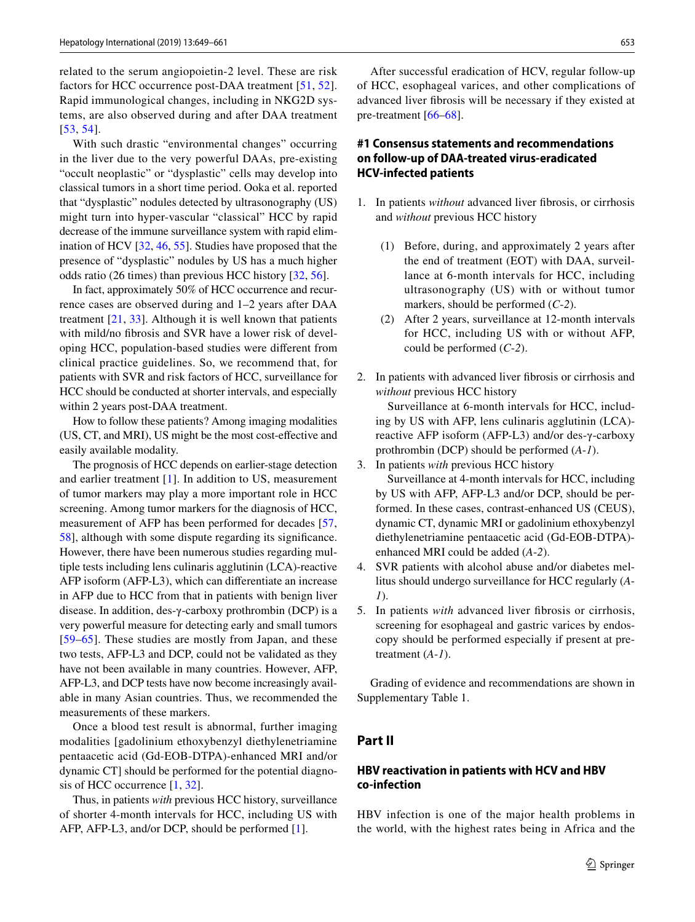related to the serum angiopoietin-2 level. These are risk factors for HCC occurrence post-DAA treatment [\[51,](#page-10-11) [52](#page-10-12)]. Rapid immunological changes, including in NKG2D systems, are also observed during and after DAA treatment [[53,](#page-10-13) [54\]](#page-10-14).

With such drastic "environmental changes" occurring in the liver due to the very powerful DAAs, pre-existing "occult neoplastic" or "dysplastic" cells may develop into classical tumors in a short time period. Ooka et al. reported that "dysplastic" nodules detected by ultrasonography (US) might turn into hyper-vascular "classical" HCC by rapid decrease of the immune surveillance system with rapid elimination of HCV [[32](#page-9-7), [46](#page-10-9), [55\]](#page-10-15). Studies have proposed that the presence of "dysplastic" nodules by US has a much higher odds ratio (26 times) than previous HCC history [\[32](#page-9-7), [56](#page-10-16)].

In fact, approximately 50% of HCC occurrence and recurrence cases are observed during and 1–2 years after DAA treatment  $[21, 33]$  $[21, 33]$  $[21, 33]$  $[21, 33]$  $[21, 33]$ . Although it is well known that patients with mild/no fbrosis and SVR have a lower risk of developing HCC, population-based studies were diferent from clinical practice guidelines. So, we recommend that, for patients with SVR and risk factors of HCC, surveillance for HCC should be conducted at shorter intervals, and especially within 2 years post-DAA treatment.

How to follow these patients? Among imaging modalities (US, CT, and MRI), US might be the most cost-efective and easily available modality.

The prognosis of HCC depends on earlier-stage detection and earlier treatment [[1](#page-8-0)]. In addition to US, measurement of tumor markers may play a more important role in HCC screening. Among tumor markers for the diagnosis of HCC, measurement of AFP has been performed for decades [[57,](#page-10-17) [58](#page-10-18)], although with some dispute regarding its signifcance. However, there have been numerous studies regarding multiple tests including lens culinaris agglutinin (LCA)-reactive AFP isoform (AFP-L3), which can diferentiate an increase in AFP due to HCC from that in patients with benign liver disease. In addition, des-γ-carboxy prothrombin (DCP) is a very powerful measure for detecting early and small tumors [[59–](#page-10-19)[65](#page-10-20)]. These studies are mostly from Japan, and these two tests, AFP-L3 and DCP, could not be validated as they have not been available in many countries. However, AFP, AFP-L3, and DCP tests have now become increasingly available in many Asian countries. Thus, we recommended the measurements of these markers.

Once a blood test result is abnormal, further imaging modalities [gadolinium ethoxybenzyl diethylenetriamine pentaacetic acid (Gd-EOB-DTPA)-enhanced MRI and/or dynamic CT] should be performed for the potential diagnosis of HCC occurrence [[1,](#page-8-0) [32\]](#page-9-7).

Thus, in patients *with* previous HCC history, surveillance of shorter 4-month intervals for HCC, including US with AFP, AFP-L3, and/or DCP, should be performed [\[1](#page-8-0)].

After successful eradication of HCV, regular follow-up of HCC, esophageal varices, and other complications of advanced liver fbrosis will be necessary if they existed at pre-treatment [\[66–](#page-10-21)[68\]](#page-11-0).

## **#1 Consensus statements and recommendations on follow‑up of DAA‑treated virus‑eradicated HCV‑infected patients**

- 1. In patients *without* advanced liver fbrosis, or cirrhosis and *without* previous HCC history
	- (1) Before, during, and approximately 2 years after the end of treatment (EOT) with DAA, surveillance at 6-month intervals for HCC, including ultrasonography (US) with or without tumor markers, should be performed (*C*-*2*).
	- (2) After 2 years, surveillance at 12-month intervals for HCC, including US with or without AFP, could be performed (*C*-*2*).
- 2. In patients with advanced liver fbrosis or cirrhosis and *without* previous HCC history

 Surveillance at 6-month intervals for HCC, including by US with AFP, lens culinaris agglutinin (LCA) reactive AFP isoform (AFP-L3) and/or des-γ-carboxy prothrombin (DCP) should be performed (*A*-*1*).

3. In patients *with* previous HCC history

 Surveillance at 4-month intervals for HCC, including by US with AFP, AFP-L3 and/or DCP, should be performed. In these cases, contrast-enhanced US (CEUS), dynamic CT, dynamic MRI or gadolinium ethoxybenzyl diethylenetriamine pentaacetic acid (Gd-EOB-DTPA) enhanced MRI could be added (*A*-*2*).

- 4. SVR patients with alcohol abuse and/or diabetes mellitus should undergo surveillance for HCC regularly (*A*-*1*).
- 5. In patients *with* advanced liver fbrosis or cirrhosis, screening for esophageal and gastric varices by endoscopy should be performed especially if present at pretreatment (*A*-*1*).

Grading of evidence and recommendations are shown in Supplementary Table 1.

# **Part II**

## **HBV reactivation in patients with HCV and HBV co‑infection**

HBV infection is one of the major health problems in the world, with the highest rates being in Africa and the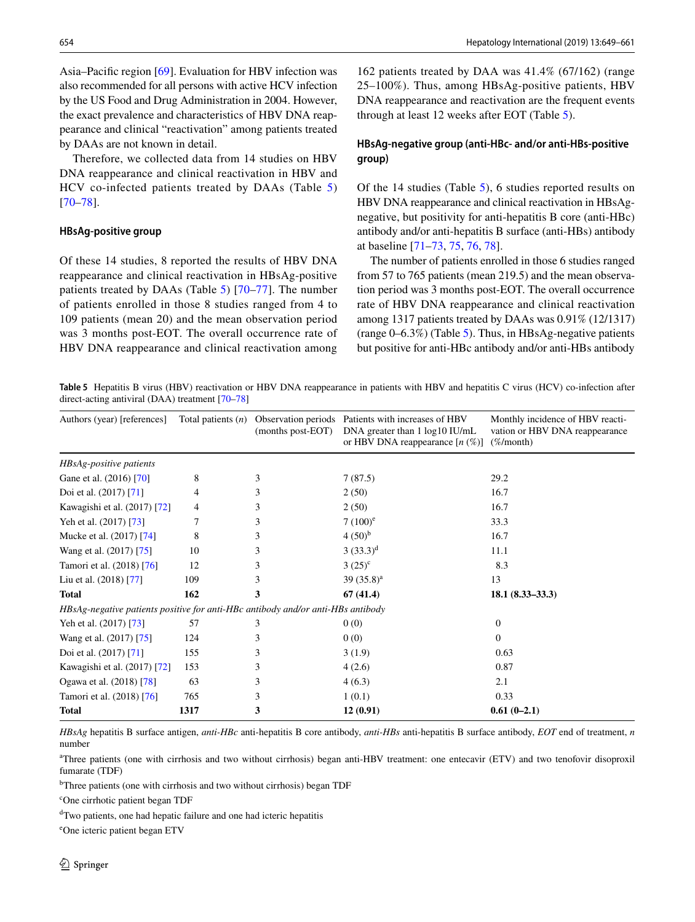Asia–Pacific region [\[69\]](#page-11-1). Evaluation for HBV infection was also recommended for all persons with active HCV infection by the US Food and Drug Administration in 2004. However, the exact prevalence and characteristics of HBV DNA reappearance and clinical "reactivation" among patients treated by DAAs are not known in detail.

Therefore, we collected data from 14 studies on HBV DNA reappearance and clinical reactivation in HBV and HCV co-infected patients treated by DAAs (Table [5\)](#page-5-0) [\[70–](#page-11-2)[78\]](#page-11-3).

#### **HBsAg‑positive group**

Of these 14 studies, 8 reported the results of HBV DNA reappearance and clinical reactivation in HBsAg-positive patients treated by DAAs (Table [5](#page-5-0)) [[70](#page-11-2)[–77\]](#page-11-4). The number of patients enrolled in those 8 studies ranged from 4 to 109 patients (mean 20) and the mean observation period was 3 months post-EOT. The overall occurrence rate of HBV DNA reappearance and clinical reactivation among

162 patients treated by DAA was 41.4% (67/162) (range 25–100%). Thus, among HBsAg-positive patients, HBV DNA reappearance and reactivation are the frequent events through at least 12 weeks after EOT (Table [5](#page-5-0)).

## **HBsAg‑negative group (anti‑HBc‑ and/or anti‑HBs‑positive group)**

Of the 14 studies (Table [5](#page-5-0)), 6 studies reported results on HBV DNA reappearance and clinical reactivation in HBsAgnegative, but positivity for anti-hepatitis B core (anti-HBc) antibody and/or anti-hepatitis B surface (anti-HBs) antibody at baseline [[71–](#page-11-5)[73](#page-11-6), [75](#page-11-7), [76](#page-11-8), [78](#page-11-3)].

The number of patients enrolled in those 6 studies ranged from 57 to 765 patients (mean 219.5) and the mean observation period was 3 months post-EOT. The overall occurrence rate of HBV DNA reappearance and clinical reactivation among 1317 patients treated by DAAs was 0.91% (12/1317) (range 0–6.3%) (Table [5\)](#page-5-0). Thus, in HBsAg-negative patients but positive for anti-HBc antibody and/or anti-HBs antibody

<span id="page-5-0"></span>**Table 5** Hepatitis B virus (HBV) reactivation or HBV DNA reappearance in patients with HBV and hepatitis C virus (HCV) co-infection after direct-acting antiviral (DAA) treatment [\[70](#page-11-2)[–78\]](#page-11-3)

| Authors (year) [references]                                                     | Total patients $(n)$ | (months post-EOT) | Observation periods Patients with increases of HBV<br>DNA greater than 1 log10 IU/mL<br>or HBV DNA reappearance $[n \, (\%)]$ | Monthly incidence of HBV reacti-<br>vation or HBV DNA reappearance<br>$(\% / \text{month})$ |  |  |  |
|---------------------------------------------------------------------------------|----------------------|-------------------|-------------------------------------------------------------------------------------------------------------------------------|---------------------------------------------------------------------------------------------|--|--|--|
| HBsAg-positive patients                                                         |                      |                   |                                                                                                                               |                                                                                             |  |  |  |
| Gane et al. (2016) [70]                                                         | 8                    | 3                 | 7(87.5)                                                                                                                       | 29.2                                                                                        |  |  |  |
| Doi et al. (2017) [71]                                                          | 4                    | 3                 | 2(50)                                                                                                                         | 16.7                                                                                        |  |  |  |
| Kawagishi et al. (2017) [72]                                                    | 4                    | 3                 | 2(50)                                                                                                                         | 16.7                                                                                        |  |  |  |
| Yeh et al. (2017) [73]                                                          | 7                    | 3                 | $7(100)^e$                                                                                                                    | 33.3                                                                                        |  |  |  |
| Mucke et al. (2017) [74]                                                        | 8                    | 3                 | $4(50)^{b}$                                                                                                                   | 16.7                                                                                        |  |  |  |
| Wang et al. (2017) [75]                                                         | 10                   | 3                 | $(33.3)^d$                                                                                                                    | 11.1                                                                                        |  |  |  |
| Tamori et al. (2018) [76]                                                       | 12                   | 3                 | $3(25)^{c}$                                                                                                                   | 8.3                                                                                         |  |  |  |
| Liu et al. (2018) [77]                                                          | 109                  | 3                 | 39 $(35.8)^a$                                                                                                                 | 13                                                                                          |  |  |  |
| <b>Total</b>                                                                    | 162                  | 3                 | 67(41.4)                                                                                                                      | $18.1 (8.33 - 33.3)$                                                                        |  |  |  |
| HBsAg-negative patients positive for anti-HBc antibody and/or anti-HBs antibody |                      |                   |                                                                                                                               |                                                                                             |  |  |  |
| Yeh et al. (2017) [73]                                                          | 57                   | 3                 | 0(0)                                                                                                                          | $\Omega$                                                                                    |  |  |  |
| Wang et al. (2017) [75]                                                         | 124                  | 3                 | 0(0)                                                                                                                          | $\Omega$                                                                                    |  |  |  |
| Doi et al. (2017) [71]                                                          | 155                  | 3                 | 3(1.9)                                                                                                                        | 0.63                                                                                        |  |  |  |
| Kawagishi et al. (2017) [72]                                                    | 153                  | 3                 | 4(2.6)                                                                                                                        | 0.87                                                                                        |  |  |  |
| Ogawa et al. (2018) [78]                                                        | 63                   | 3                 | 4(6.3)                                                                                                                        | 2.1                                                                                         |  |  |  |
| Tamori et al. (2018) [76]                                                       | 765                  | 3                 | 1(0.1)                                                                                                                        | 0.33                                                                                        |  |  |  |
| <b>Total</b>                                                                    | 1317                 | 3                 | 12(0.91)                                                                                                                      | $0.61(0-2.1)$                                                                               |  |  |  |

*HBsAg* hepatitis B surface antigen, *anti-HBc* anti-hepatitis B core antibody, *anti-HBs* anti-hepatitis B surface antibody, *EOT* end of treatment, *n* number

a Three patients (one with cirrhosis and two without cirrhosis) began anti-HBV treatment: one entecavir (ETV) and two tenofovir disoproxil fumarate (TDF)

<sup>b</sup>Three patients (one with cirrhosis and two without cirrhosis) began TDF

c One cirrhotic patient began TDF

d Two patients, one had hepatic failure and one had icteric hepatitis

e One icteric patient began ETV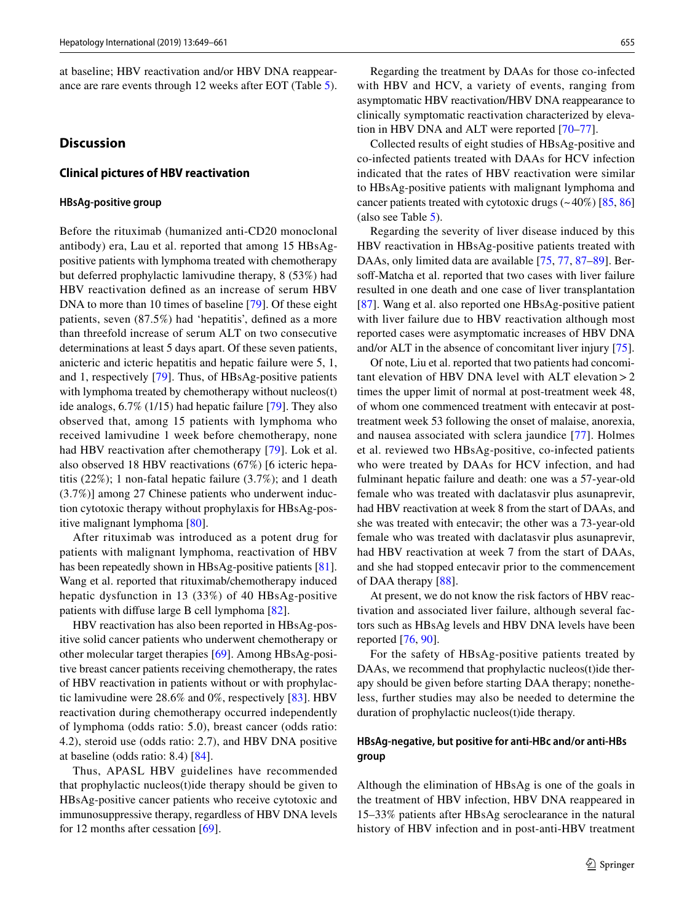at baseline; HBV reactivation and/or HBV DNA reappearance are rare events through 12 weeks after EOT (Table [5](#page-5-0)).

#### **Discussion**

#### **Clinical pictures of HBV reactivation**

#### **HBsAg‑positive group**

Before the rituximab (humanized anti-CD20 monoclonal antibody) era, Lau et al. reported that among 15 HBsAgpositive patients with lymphoma treated with chemotherapy but deferred prophylactic lamivudine therapy, 8 (53%) had HBV reactivation defned as an increase of serum HBV DNA to more than 10 times of baseline [\[79](#page-11-11)]. Of these eight patients, seven (87.5%) had 'hepatitis', defned as a more than threefold increase of serum ALT on two consecutive determinations at least 5 days apart. Of these seven patients, anicteric and icteric hepatitis and hepatic failure were 5, 1, and 1, respectively [[79\]](#page-11-11). Thus, of HBsAg-positive patients with lymphoma treated by chemotherapy without nucleos(t) ide analogs, 6.7% (1/15) had hepatic failure [[79\]](#page-11-11). They also observed that, among 15 patients with lymphoma who received lamivudine 1 week before chemotherapy, none had HBV reactivation after chemotherapy [\[79\]](#page-11-11). Lok et al. also observed 18 HBV reactivations (67%) [6 icteric hepatitis (22%); 1 non-fatal hepatic failure (3.7%); and 1 death (3.7%)] among 27 Chinese patients who underwent induction cytotoxic therapy without prophylaxis for HBsAg-positive malignant lymphoma [[80\]](#page-11-12).

After rituximab was introduced as a potent drug for patients with malignant lymphoma, reactivation of HBV has been repeatedly shown in HBsAg-positive patients [\[81](#page-11-13)]. Wang et al. reported that rituximab/chemotherapy induced hepatic dysfunction in 13 (33%) of 40 HBsAg-positive patients with difuse large B cell lymphoma [[82\]](#page-11-14).

HBV reactivation has also been reported in HBsAg-positive solid cancer patients who underwent chemotherapy or other molecular target therapies [\[69\]](#page-11-1). Among HBsAg-positive breast cancer patients receiving chemotherapy, the rates of HBV reactivation in patients without or with prophylactic lamivudine were 28.6% and 0%, respectively [[83](#page-11-15)]. HBV reactivation during chemotherapy occurred independently of lymphoma (odds ratio: 5.0), breast cancer (odds ratio: 4.2), steroid use (odds ratio: 2.7), and HBV DNA positive at baseline (odds ratio: 8.4) [[84](#page-11-16)].

Thus, APASL HBV guidelines have recommended that prophylactic nucleos(t)ide therapy should be given to HBsAg-positive cancer patients who receive cytotoxic and immunosuppressive therapy, regardless of HBV DNA levels for 12 months after cessation [[69\]](#page-11-1).

Regarding the treatment by DAAs for those co-infected with HBV and HCV, a variety of events, ranging from asymptomatic HBV reactivation/HBV DNA reappearance to clinically symptomatic reactivation characterized by elevation in HBV DNA and ALT were reported [[70–](#page-11-2)[77](#page-11-4)].

Collected results of eight studies of HBsAg-positive and co-infected patients treated with DAAs for HCV infection indicated that the rates of HBV reactivation were similar to HBsAg-positive patients with malignant lymphoma and cancer patients treated with cytotoxic drugs  $(-40\%)$  [\[85](#page-11-17), [86\]](#page-11-18) (also see Table [5\)](#page-5-0).

Regarding the severity of liver disease induced by this HBV reactivation in HBsAg-positive patients treated with DAAs, only limited data are available [\[75](#page-11-7), [77](#page-11-4), [87](#page-11-19)[–89](#page-11-20)]. Bersoff-Matcha et al. reported that two cases with liver failure resulted in one death and one case of liver transplantation [[87\]](#page-11-19). Wang et al. also reported one HBsAg-positive patient with liver failure due to HBV reactivation although most reported cases were asymptomatic increases of HBV DNA and/or ALT in the absence of concomitant liver injury [\[75](#page-11-7)].

Of note, Liu et al. reported that two patients had concomitant elevation of HBV DNA level with ALT elevation  $> 2$ times the upper limit of normal at post-treatment week 48, of whom one commenced treatment with entecavir at posttreatment week 53 following the onset of malaise, anorexia, and nausea associated with sclera jaundice [[77\]](#page-11-4). Holmes et al. reviewed two HBsAg-positive, co-infected patients who were treated by DAAs for HCV infection, and had fulminant hepatic failure and death: one was a 57-year-old female who was treated with daclatasvir plus asunaprevir, had HBV reactivation at week 8 from the start of DAAs, and she was treated with entecavir; the other was a 73-year-old female who was treated with daclatasvir plus asunaprevir, had HBV reactivation at week 7 from the start of DAAs, and she had stopped entecavir prior to the commencement of DAA therapy [[88](#page-11-21)].

At present, we do not know the risk factors of HBV reactivation and associated liver failure, although several factors such as HBsAg levels and HBV DNA levels have been reported [[76,](#page-11-8) [90](#page-11-22)].

For the safety of HBsAg-positive patients treated by DAAs, we recommend that prophylactic nucleos(t)ide therapy should be given before starting DAA therapy; nonetheless, further studies may also be needed to determine the duration of prophylactic nucleos(t)ide therapy.

#### **HBsAg‑negative, but positive for anti‑HBc and/or anti‑HBs group**

Although the elimination of HBsAg is one of the goals in the treatment of HBV infection, HBV DNA reappeared in 15–33% patients after HBsAg seroclearance in the natural history of HBV infection and in post-anti-HBV treatment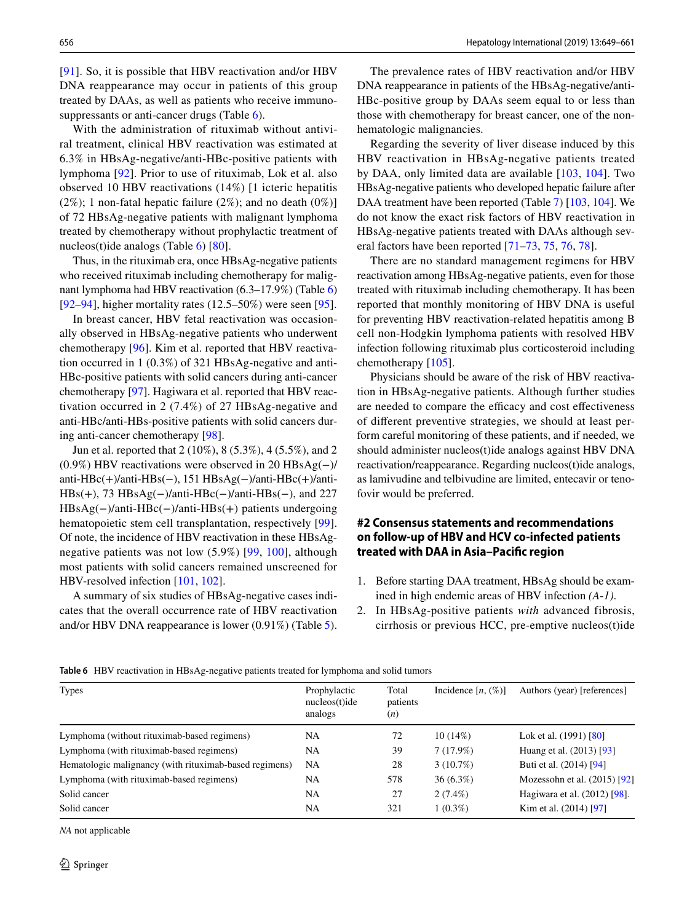[\[91\]](#page-11-23). So, it is possible that HBV reactivation and/or HBV DNA reappearance may occur in patients of this group treated by DAAs, as well as patients who receive immuno-suppressants or anti-cancer drugs (Table [6](#page-7-0)).

With the administration of rituximab without antiviral treatment, clinical HBV reactivation was estimated at 6.3% in HBsAg-negative/anti-HBc-positive patients with lymphoma [[92](#page-11-24)]. Prior to use of rituximab, Lok et al. also observed 10 HBV reactivations (14%) [1 icteric hepatitis  $(2\%)$ ; 1 non-fatal hepatic failure  $(2\%)$ ; and no death  $(0\%)$ ] of 72 HBsAg-negative patients with malignant lymphoma treated by chemotherapy without prophylactic treatment of nucleos(t)ide analogs (Table [6](#page-7-0)) [\[80](#page-11-12)].

Thus, in the rituximab era, once HBsAg-negative patients who received rituximab including chemotherapy for malignant lymphoma had HBV reactivation (6.3–17.9%) (Table [6\)](#page-7-0) [\[92–](#page-11-24)[94\]](#page-11-25), higher mortality rates (12.5–50%) were seen [[95\]](#page-11-26).

In breast cancer, HBV fetal reactivation was occasionally observed in HBsAg-negative patients who underwent chemotherapy [\[96](#page-11-27)]. Kim et al. reported that HBV reactivation occurred in 1 (0.3%) of 321 HBsAg-negative and anti-HBc-positive patients with solid cancers during anti-cancer chemotherapy [\[97](#page-11-28)]. Hagiwara et al. reported that HBV reactivation occurred in 2 (7.4%) of 27 HBsAg-negative and anti-HBc/anti-HBs-positive patients with solid cancers during anti-cancer chemotherapy [[98\]](#page-11-29).

Jun et al. reported that 2 (10%), 8 (5.3%), 4 (5.5%), and 2 (0.9%) HBV reactivations were observed in 20 HBsAg(−)/ anti-HBc(+)/anti-HBs(−), 151 HBsAg(−)/anti-HBc(+)/anti- $HBs(+)$ , 73 HBsAg(-)/anti-HBc(-)/anti-HBs(-), and 227 HBsAg(−)/anti-HBc(−)/anti-HBs(+) patients undergoing hematopoietic stem cell transplantation, respectively [\[99](#page-12-0)]. Of note, the incidence of HBV reactivation in these HBsAgnegative patients was not low (5.9%) [[99](#page-12-0), [100\]](#page-12-1), although most patients with solid cancers remained unscreened for HBV-resolved infection [\[101](#page-12-2), [102\]](#page-12-3).

A summary of six studies of HBsAg-negative cases indicates that the overall occurrence rate of HBV reactivation and/or HBV DNA reappearance is lower (0.91%) (Table [5](#page-5-0)).

The prevalence rates of HBV reactivation and/or HBV DNA reappearance in patients of the HBsAg-negative/anti-HBc-positive group by DAAs seem equal to or less than those with chemotherapy for breast cancer, one of the nonhematologic malignancies.

Regarding the severity of liver disease induced by this HBV reactivation in HBsAg-negative patients treated by DAA, only limited data are available [\[103,](#page-12-4) [104](#page-12-5)]. Two HBsAg-negative patients who developed hepatic failure after DAA treatment have been reported (Table [7](#page-8-3)) [\[103](#page-12-4), [104\]](#page-12-5). We do not know the exact risk factors of HBV reactivation in HBsAg-negative patients treated with DAAs although several factors have been reported [[71–](#page-11-5)[73,](#page-11-6) [75,](#page-11-7) [76](#page-11-8), [78](#page-11-3)].

There are no standard management regimens for HBV reactivation among HBsAg-negative patients, even for those treated with rituximab including chemotherapy. It has been reported that monthly monitoring of HBV DNA is useful for preventing HBV reactivation-related hepatitis among B cell non-Hodgkin lymphoma patients with resolved HBV infection following rituximab plus corticosteroid including chemotherapy [[105](#page-12-6)].

Physicians should be aware of the risk of HBV reactivation in HBsAg-negative patients. Although further studies are needed to compare the efficacy and cost effectiveness of diferent preventive strategies, we should at least perform careful monitoring of these patients, and if needed, we should administer nucleos(t)ide analogs against HBV DNA reactivation/reappearance. Regarding nucleos(t)ide analogs, as lamivudine and telbivudine are limited, entecavir or tenofovir would be preferred.

# **#2 Consensus statements and recommendations on follow‑up of HBV and HCV co‑infected patients treated with DAA in Asia–Pacifc region**

- 1. Before starting DAA treatment, HBsAg should be examined in high endemic areas of HBV infection *(A*-*1)*.
- 2. In HBsAg-positive patients *with* advanced fibrosis, cirrhosis or previous HCC, pre-emptive nucleos(t)ide

| <b>Types</b>                                           | Prophylactic<br>$nucleos(t)$ ide<br>analogs | Total<br>patients<br>(n) | Incidence $[n, (\%)]$ | Authors (year) [references]    |
|--------------------------------------------------------|---------------------------------------------|--------------------------|-----------------------|--------------------------------|
| Lymphoma (without rituximab-based regimens)            | <b>NA</b>                                   | 72                       | $10(14\%)$            | Lok et al. (1991) [80]         |
| Lymphoma (with rituximab-based regimens)               | NA                                          | 39                       | 7(17.9%)              | Huang et al. (2013) [93]       |
| Hematologic malignancy (with rituximab-based regimens) | <b>NA</b>                                   | 28                       | $3(10.7\%)$           | Buti et al. (2014) [94]        |
| Lymphoma (with rituximab-based regimens)               | <b>NA</b>                                   | 578                      | $36(6.3\%)$           | Mozessohn et al. $(2015)$ [92] |
| Solid cancer                                           | NA                                          | 27                       | $2(7.4\%)$            | Hagiwara et al. (2012) [98].   |
| Solid cancer                                           | <b>NA</b>                                   | 321                      | $1(0.3\%)$            | Kim et al. (2014) [97]         |

<span id="page-7-0"></span>**Table 6** HBV reactivation in HBsAg-negative patients treated for lymphoma and solid tumors

*NA* not applicable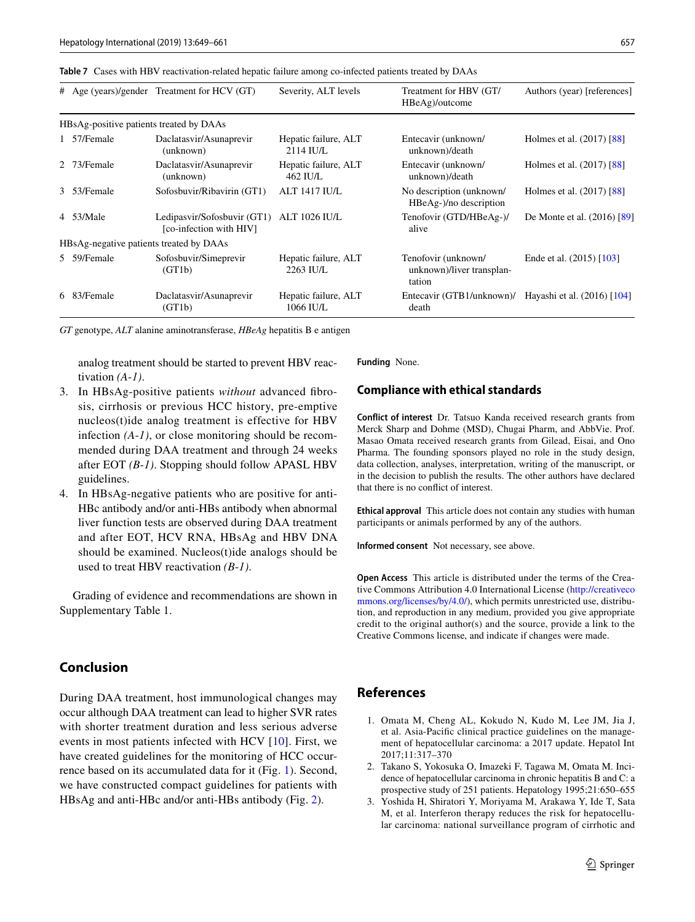<span id="page-8-3"></span>

|                                         |                                         | # Age (years)/gender Treatment for HCV (GT)            | Severity, ALT levels                | Treatment for HBV (GT/<br>HBeAg)/outcome                   | Authors (year) [references] |  |
|-----------------------------------------|-----------------------------------------|--------------------------------------------------------|-------------------------------------|------------------------------------------------------------|-----------------------------|--|
|                                         | HBsAg-positive patients treated by DAAs |                                                        |                                     |                                                            |                             |  |
|                                         | 1 57/Female                             | Daclatasvir/Asunaprevir<br>(unknown)                   | Hepatic failure, ALT<br>$2114$ IU/L | Entecavir (unknown/<br>unknown)/death                      | Holmes et al. $(2017)$ [88] |  |
|                                         | 2 73/Female                             | Daclatasvir/Asunaprevir<br>(unknown)                   | Hepatic failure, ALT<br>$462$ IU/L  | Entecavir (unknown/<br>unknown)/death                      | Holmes et al. (2017) [88]   |  |
|                                         | 3 53/Female                             | Sofosbuvir/Ribavirin (GT1)                             | <b>ALT 1417 IU/L</b>                | No description (unknown/<br>HBeAg-)/no description         | Holmes et al. (2017) [88]   |  |
|                                         | 4 53/Male                               | Ledipasvir/Sofosbuvir (GT1)<br>[co-infection with HIV] | <b>ALT 1026 IU/L</b>                | Tenofovir (GTD/HBeAg-)/<br>alive                           | De Monte et al. (2016) [89] |  |
| HBsAg-negative patients treated by DAAs |                                         |                                                        |                                     |                                                            |                             |  |
|                                         | 5 59/Female                             | Sofosbuvir/Simeprevir<br>(GT1b)                        | Hepatic failure, ALT<br>2263 IU/L   | Tenofovir (unknown/<br>unknown)/liver transplan-<br>tation | Ende et al. (2015) [103]    |  |
|                                         | 6 83/Female                             | Daclatasvir/Asunaprevir<br>(GT1b)                      | Hepatic failure, ALT<br>1066 IU/L   | Entecavir (GTB1/unknown)/<br>death                         | Hayashi et al. (2016) [104] |  |

*GT* genotype, *ALT* alanine aminotransferase, *HBeAg* hepatitis B e antigen

analog treatment should be started to prevent HBV reactivation *(A*-*1)*.

- 3. In HBsAg-positive patients *without* advanced fbrosis, cirrhosis or previous HCC history, pre-emptive nucleos(t)ide analog treatment is effective for HBV infection *(A*-*1)*, or close monitoring should be recommended during DAA treatment and through 24 weeks after EOT *(B*-*1)*. Stopping should follow APASL HBV guidelines.
- 4. In HBsAg-negative patients who are positive for anti-HBc antibody and/or anti-HBs antibody when abnormal liver function tests are observed during DAA treatment and after EOT, HCV RNA, HBsAg and HBV DNA should be examined. Nucleos(t)ide analogs should be used to treat HBV reactivation *(B*-*1)*.

Grading of evidence and recommendations are shown in Supplementary Table 1.

# **Conclusion**

During DAA treatment, host immunological changes may occur although DAA treatment can lead to higher SVR rates with shorter treatment duration and less serious adverse events in most patients infected with HCV [[10\]](#page-9-23). First, we have created guidelines for the monitoring of HCC occurrence based on its accumulated data for it (Fig. [1](#page-1-1)). Second, we have constructed compact guidelines for patients with HBsAg and anti-HBc and/or anti-HBs antibody (Fig. [2\)](#page-1-2).

**Funding** None.

#### **Compliance with ethical standards**

**Conflict of interest** Dr. Tatsuo Kanda received research grants from Merck Sharp and Dohme (MSD), Chugai Pharm, and AbbVie. Prof. Masao Omata received research grants from Gilead, Eisai, and Ono Pharma. The founding sponsors played no role in the study design, data collection, analyses, interpretation, writing of the manuscript, or in the decision to publish the results. The other authors have declared that there is no confict of interest.

**Ethical approval** This article does not contain any studies with human participants or animals performed by any of the authors.

**Informed consent** Not necessary, see above.

**Open Access** This article is distributed under the terms of the Creative Commons Attribution 4.0 International License ([http://creativeco](http://creativecommons.org/licenses/by/4.0/) [mmons.org/licenses/by/4.0/](http://creativecommons.org/licenses/by/4.0/)), which permits unrestricted use, distribution, and reproduction in any medium, provided you give appropriate credit to the original author(s) and the source, provide a link to the Creative Commons license, and indicate if changes were made.

# **References**

- <span id="page-8-0"></span>1. Omata M, Cheng AL, Kokudo N, Kudo M, Lee JM, Jia J, et al. Asia-Pacifc clinical practice guidelines on the management of hepatocellular carcinoma: a 2017 update. Hepatol Int 2017;11:317–370
- <span id="page-8-1"></span>2. Takano S, Yokosuka O, Imazeki F, Tagawa M, Omata M. Incidence of hepatocellular carcinoma in chronic hepatitis B and C: a prospective study of 251 patients. Hepatology 1995;21:650–655
- <span id="page-8-2"></span>3. Yoshida H, Shiratori Y, Moriyama M, Arakawa Y, Ide T, Sata M, et al. Interferon therapy reduces the risk for hepatocellular carcinoma: national surveillance program of cirrhotic and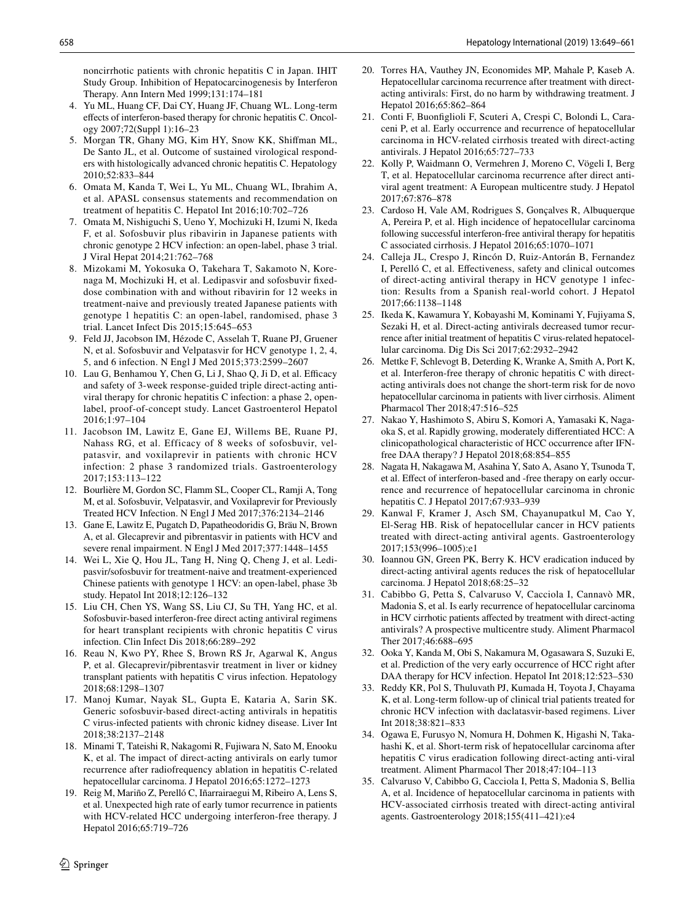noncirrhotic patients with chronic hepatitis C in Japan. IHIT Study Group. Inhibition of Hepatocarcinogenesis by Interferon Therapy. Ann Intern Med 1999;131:174–181

- 4. Yu ML, Huang CF, Dai CY, Huang JF, Chuang WL. Long-term efects of interferon-based therapy for chronic hepatitis C. Oncology 2007;72(Suppl 1):16–23
- <span id="page-9-0"></span>5. Morgan TR, Ghany MG, Kim HY, Snow KK, Shifman ML, De Santo JL, et al. Outcome of sustained virological responders with histologically advanced chronic hepatitis C. Hepatology 2010;52:833–844
- <span id="page-9-1"></span>6. Omata M, Kanda T, Wei L, Yu ML, Chuang WL, Ibrahim A, et al. APASL consensus statements and recommendation on treatment of hepatitis C. Hepatol Int 2016;10:702–726
- <span id="page-9-2"></span>7. Omata M, Nishiguchi S, Ueno Y, Mochizuki H, Izumi N, Ikeda F, et al. Sofosbuvir plus ribavirin in Japanese patients with chronic genotype 2 HCV infection: an open-label, phase 3 trial. J Viral Hepat 2014;21:762–768
- 8. Mizokami M, Yokosuka O, Takehara T, Sakamoto N, Korenaga M, Mochizuki H, et al. Ledipasvir and sofosbuvir fxeddose combination with and without ribavirin for 12 weeks in treatment-naive and previously treated Japanese patients with genotype 1 hepatitis C: an open-label, randomised, phase 3 trial. Lancet Infect Dis 2015;15:645–653
- 9. Feld JJ, Jacobson IM, Hézode C, Asselah T, Ruane PJ, Gruener N, et al. Sofosbuvir and Velpatasvir for HCV genotype 1, 2, 4, 5, and 6 infection. N Engl J Med 2015;373:2599–2607
- <span id="page-9-23"></span>10. Lau G, Benhamou Y, Chen G, Li J, Shao Q, Ji D, et al. Efficacy and safety of 3-week response-guided triple direct-acting antiviral therapy for chronic hepatitis C infection: a phase 2, openlabel, proof-of-concept study. Lancet Gastroenterol Hepatol 2016;1:97–104
- <span id="page-9-9"></span>11. Jacobson IM, Lawitz E, Gane EJ, Willems BE, Ruane PJ, Nahass RG, et al. Efficacy of 8 weeks of sofosbuvir, velpatasvir, and voxilaprevir in patients with chronic HCV infection: 2 phase 3 randomized trials. Gastroenterology 2017;153:113–122
- 12. Bourlière M, Gordon SC, Flamm SL, Cooper CL, Ramji A, Tong M, et al. Sofosbuvir, Velpatasvir, and Voxilaprevir for Previously Treated HCV Infection. N Engl J Med 2017;376:2134–2146
- 13. Gane E, Lawitz E, Pugatch D, Papatheodoridis G, Bräu N, Brown A, et al. Glecaprevir and pibrentasvir in patients with HCV and severe renal impairment. N Engl J Med 2017;377:1448–1455
- 14. Wei L, Xie Q, Hou JL, Tang H, Ning Q, Cheng J, et al. Ledipasvir/sofosbuvir for treatment-naive and treatment-experienced Chinese patients with genotype 1 HCV: an open-label, phase 3b study. Hepatol Int 2018;12:126–132
- 15. Liu CH, Chen YS, Wang SS, Liu CJ, Su TH, Yang HC, et al. Sofosbuvir-based interferon-free direct acting antiviral regimens for heart transplant recipients with chronic hepatitis C virus infection. Clin Infect Dis 2018;66:289–292
- 16. Reau N, Kwo PY, Rhee S, Brown RS Jr, Agarwal K, Angus P, et al. Glecaprevir/pibrentasvir treatment in liver or kidney transplant patients with hepatitis C virus infection. Hepatology 2018;68:1298–1307
- <span id="page-9-3"></span>17. Manoj Kumar, Nayak SL, Gupta E, Kataria A, Sarin SK. Generic sofosbuvir-based direct-acting antivirals in hepatitis C virus-infected patients with chronic kidney disease. Liver Int 2018;38:2137–2148
- <span id="page-9-4"></span>18. Minami T, Tateishi R, Nakagomi R, Fujiwara N, Sato M, Enooku K, et al. The impact of direct-acting antivirals on early tumor recurrence after radiofrequency ablation in hepatitis C-related hepatocellular carcinoma. J Hepatol 2016;65:1272–1273
- <span id="page-9-11"></span>19. Reig M, Mariño Z, Perelló C, Iñarrairaegui M, Ribeiro A, Lens S, et al. Unexpected high rate of early tumor recurrence in patients with HCV-related HCC undergoing interferon-free therapy. J Hepatol 2016;65:719–726
- <span id="page-9-19"></span>20. Torres HA, Vauthey JN, Economides MP, Mahale P, Kaseb A. Hepatocellular carcinoma recurrence after treatment with directacting antivirals: First, do no harm by withdrawing treatment. J Hepatol 2016;65:862–864
- <span id="page-9-12"></span>21. Conti F, Buonfglioli F, Scuteri A, Crespi C, Bolondi L, Caraceni P, et al. Early occurrence and recurrence of hepatocellular carcinoma in HCV-related cirrhosis treated with direct-acting antivirals. J Hepatol 2016;65:727–733
- <span id="page-9-20"></span>22. Kolly P, Waidmann O, Vermehren J, Moreno C, Vögeli I, Berg T, et al. Hepatocellular carcinoma recurrence after direct antiviral agent treatment: A European multicentre study. J Hepatol 2017;67:876–878
- <span id="page-9-13"></span>23. Cardoso H, Vale AM, Rodrigues S, Gonçalves R, Albuquerque A, Pereira P, et al. High incidence of hepatocellular carcinoma following successful interferon-free antiviral therapy for hepatitis C associated cirrhosis. J Hepatol 2016;65:1070–1071
- <span id="page-9-17"></span>24. Calleja JL, Crespo J, Rincón D, Ruiz-Antorán B, Fernandez I, Perelló C, et al. Efectiveness, safety and clinical outcomes of direct-acting antiviral therapy in HCV genotype 1 infection: Results from a Spanish real-world cohort. J Hepatol 2017;66:1138–1148
- <span id="page-9-18"></span>25. Ikeda K, Kawamura Y, Kobayashi M, Kominami Y, Fujiyama S, Sezaki H, et al. Direct-acting antivirals decreased tumor recurrence after initial treatment of hepatitis C virus-related hepatocellular carcinoma. Dig Dis Sci 2017;62:2932–2942
- <span id="page-9-14"></span>26. Mettke F, Schlevogt B, Deterding K, Wranke A, Smith A, Port K, et al. Interferon-free therapy of chronic hepatitis C with directacting antivirals does not change the short-term risk for de novo hepatocellular carcinoma in patients with liver cirrhosis. Aliment Pharmacol Ther 2018;47:516–525
- <span id="page-9-21"></span>27. Nakao Y, Hashimoto S, Abiru S, Komori A, Yamasaki K, Nagaoka S, et al. Rapidly growing, moderately diferentiated HCC: A clinicopathological characteristic of HCC occurrence after IFNfree DAA therapy? J Hepatol 2018;68:854–855
- <span id="page-9-15"></span>28. Nagata H, Nakagawa M, Asahina Y, Sato A, Asano Y, Tsunoda T, et al. Efect of interferon-based and -free therapy on early occurrence and recurrence of hepatocellular carcinoma in chronic hepatitis C. J Hepatol 2017;67:933–939
- <span id="page-9-6"></span>29. Kanwal F, Kramer J, Asch SM, Chayanupatkul M, Cao Y, El-Serag HB. Risk of hepatocellular cancer in HCV patients treated with direct-acting antiviral agents. Gastroenterology 2017;153(996–1005):e1
- <span id="page-9-16"></span>30. Ioannou GN, Green PK, Berry K. HCV eradication induced by direct-acting antiviral agents reduces the risk of hepatocellular carcinoma. J Hepatol 2018;68:25–32
- <span id="page-9-22"></span>31. Cabibbo G, Petta S, Calvaruso V, Cacciola I, Cannavò MR, Madonia S, et al. Is early recurrence of hepatocellular carcinoma in HCV cirrhotic patients afected by treatment with direct-acting antivirals? A prospective multicentre study. Aliment Pharmacol Ther 2017;46:688–695
- <span id="page-9-7"></span>32. Ooka Y, Kanda M, Obi S, Nakamura M, Ogasawara S, Suzuki E, et al. Prediction of the very early occurrence of HCC right after DAA therapy for HCV infection. Hepatol Int 2018;12:523–530
- <span id="page-9-10"></span>33. Reddy KR, Pol S, Thuluvath PJ, Kumada H, Toyota J, Chayama K, et al. Long-term follow-up of clinical trial patients treated for chronic HCV infection with daclatasvir-based regimens. Liver Int 2018;38:821–833
- <span id="page-9-8"></span>34. Ogawa E, Furusyo N, Nomura H, Dohmen K, Higashi N, Takahashi K, et al. Short-term risk of hepatocellular carcinoma after hepatitis C virus eradication following direct-acting anti-viral treatment. Aliment Pharmacol Ther 2018;47:104–113
- <span id="page-9-5"></span>35. Calvaruso V, Cabibbo G, Cacciola I, Petta S, Madonia S, Bellia A, et al. Incidence of hepatocellular carcinoma in patients with HCV-associated cirrhosis treated with direct-acting antiviral agents. Gastroenterology 2018;155(411–421):e4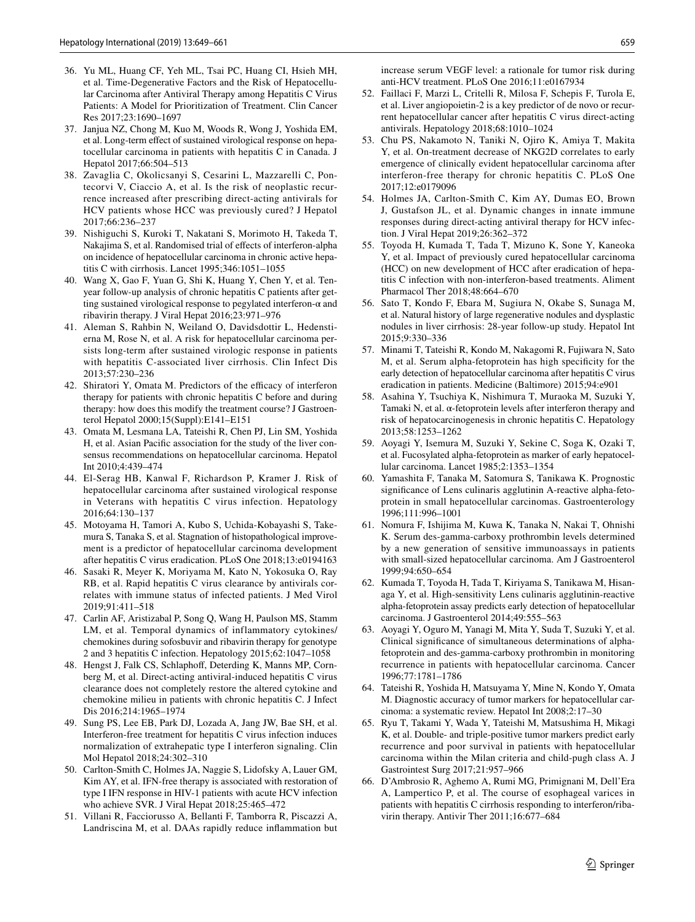- <span id="page-10-0"></span>36. Yu ML, Huang CF, Yeh ML, Tsai PC, Huang CI, Hsieh MH, et al. Time-Degenerative Factors and the Risk of Hepatocellular Carcinoma after Antiviral Therapy among Hepatitis C Virus Patients: A Model for Prioritization of Treatment. Clin Cancer Res 2017;23:1690–1697
- <span id="page-10-1"></span>37. Janjua NZ, Chong M, Kuo M, Woods R, Wong J, Yoshida EM, et al. Long-term efect of sustained virological response on hepatocellular carcinoma in patients with hepatitis C in Canada. J Hepatol 2017;66:504–513
- <span id="page-10-2"></span>38. Zavaglia C, Okolicsanyi S, Cesarini L, Mazzarelli C, Pontecorvi V, Ciaccio A, et al. Is the risk of neoplastic recurrence increased after prescribing direct-acting antivirals for HCV patients whose HCC was previously cured? J Hepatol 2017;66:236–237
- <span id="page-10-3"></span>39. Nishiguchi S, Kuroki T, Nakatani S, Morimoto H, Takeda T, Nakajima S, et al. Randomised trial of efects of interferon-alpha on incidence of hepatocellular carcinoma in chronic active hepatitis C with cirrhosis. Lancet 1995;346:1051–1055
- 40. Wang X, Gao F, Yuan G, Shi K, Huang Y, Chen Y, et al. Tenyear follow-up analysis of chronic hepatitis C patients after getting sustained virological response to pegylated interferon- $\alpha$  and ribavirin therapy. J Viral Hepat 2016;23:971–976
- <span id="page-10-4"></span>41. Aleman S, Rahbin N, Weiland O, Davidsdottir L, Hedenstierna M, Rose N, et al. A risk for hepatocellular carcinoma persists long-term after sustained virologic response in patients with hepatitis C-associated liver cirrhosis. Clin Infect Dis 2013;57:230–236
- <span id="page-10-5"></span>42. Shiratori Y, Omata M. Predictors of the efficacy of interferon therapy for patients with chronic hepatitis C before and during therapy: how does this modify the treatment course? J Gastroenterol Hepatol 2000;15(Suppl):E141–E151
- <span id="page-10-6"></span>43. Omata M, Lesmana LA, Tateishi R, Chen PJ, Lin SM, Yoshida H, et al. Asian Pacifc association for the study of the liver consensus recommendations on hepatocellular carcinoma. Hepatol Int 2010;4:439–474
- <span id="page-10-7"></span>44. El-Serag HB, Kanwal F, Richardson P, Kramer J. Risk of hepatocellular carcinoma after sustained virological response in Veterans with hepatitis C virus infection. Hepatology 2016;64:130–137
- <span id="page-10-8"></span>45. Motoyama H, Tamori A, Kubo S, Uchida-Kobayashi S, Takemura S, Tanaka S, et al. Stagnation of histopathological improvement is a predictor of hepatocellular carcinoma development after hepatitis C virus eradication. PLoS One 2018;13:e0194163
- <span id="page-10-9"></span>46. Sasaki R, Meyer K, Moriyama M, Kato N, Yokosuka O, Ray RB, et al. Rapid hepatitis C virus clearance by antivirals correlates with immune status of infected patients. J Med Virol 2019;91:411–518
- 47. Carlin AF, Aristizabal P, Song Q, Wang H, Paulson MS, Stamm LM, et al. Temporal dynamics of inflammatory cytokines/ chemokines during sofosbuvir and ribavirin therapy for genotype 2 and 3 hepatitis C infection. Hepatology 2015;62:1047–1058
- 48. Hengst J, Falk CS, Schlaphof, Deterding K, Manns MP, Cornberg M, et al. Direct-acting antiviral-induced hepatitis C virus clearance does not completely restore the altered cytokine and chemokine milieu in patients with chronic hepatitis C. J Infect Dis 2016;214:1965–1974
- 49. Sung PS, Lee EB, Park DJ, Lozada A, Jang JW, Bae SH, et al. Interferon-free treatment for hepatitis C virus infection induces normalization of extrahepatic type I interferon signaling. Clin Mol Hepatol 2018;24:302–310
- <span id="page-10-10"></span>50. Carlton-Smith C, Holmes JA, Naggie S, Lidofsky A, Lauer GM, Kim AY, et al. IFN-free therapy is associated with restoration of type I IFN response in HIV-1 patients with acute HCV infection who achieve SVR. J Viral Hepat 2018;25:465–472
- <span id="page-10-11"></span>51. Villani R, Facciorusso A, Bellanti F, Tamborra R, Piscazzi A, Landriscina M, et al. DAAs rapidly reduce infammation but

increase serum VEGF level: a rationale for tumor risk during anti-HCV treatment. PLoS One 2016;11:e0167934

- <span id="page-10-12"></span>52. Faillaci F, Marzi L, Critelli R, Milosa F, Schepis F, Turola E, et al. Liver angiopoietin-2 is a key predictor of de novo or recurrent hepatocellular cancer after hepatitis C virus direct-acting antivirals. Hepatology 2018;68:1010–1024
- <span id="page-10-13"></span>53. Chu PS, Nakamoto N, Taniki N, Ojiro K, Amiya T, Makita Y, et al. On-treatment decrease of NKG2D correlates to early emergence of clinically evident hepatocellular carcinoma after interferon-free therapy for chronic hepatitis C. PLoS One 2017;12:e0179096
- <span id="page-10-14"></span>54. Holmes JA, Carlton-Smith C, Kim AY, Dumas EO, Brown J, Gustafson JL, et al. Dynamic changes in innate immune responses during direct-acting antiviral therapy for HCV infection. J Viral Hepat 2019;26:362–372
- <span id="page-10-15"></span>55. Toyoda H, Kumada T, Tada T, Mizuno K, Sone Y, Kaneoka Y, et al. Impact of previously cured hepatocellular carcinoma (HCC) on new development of HCC after eradication of hepatitis C infection with non-interferon-based treatments. Aliment Pharmacol Ther 2018;48:664–670
- <span id="page-10-16"></span>56. Sato T, Kondo F, Ebara M, Sugiura N, Okabe S, Sunaga M, et al. Natural history of large regenerative nodules and dysplastic nodules in liver cirrhosis: 28-year follow-up study. Hepatol Int 2015;9:330–336
- <span id="page-10-17"></span>57. Minami T, Tateishi R, Kondo M, Nakagomi R, Fujiwara N, Sato M, et al. Serum alpha-fetoprotein has high specifcity for the early detection of hepatocellular carcinoma after hepatitis C virus eradication in patients. Medicine (Baltimore) 2015;94:e901
- <span id="page-10-18"></span>58. Asahina Y, Tsuchiya K, Nishimura T, Muraoka M, Suzuki Y, Tamaki N, et al. α-fetoprotein levels after interferon therapy and risk of hepatocarcinogenesis in chronic hepatitis C. Hepatology 2013;58:1253–1262
- <span id="page-10-19"></span>59. Aoyagi Y, Isemura M, Suzuki Y, Sekine C, Soga K, Ozaki T, et al. Fucosylated alpha-fetoprotein as marker of early hepatocellular carcinoma. Lancet 1985;2:1353–1354
- 60. Yamashita F, Tanaka M, Satomura S, Tanikawa K. Prognostic signifcance of Lens culinaris agglutinin A-reactive alpha-fetoprotein in small hepatocellular carcinomas. Gastroenterology 1996;111:996–1001
- 61. Nomura F, Ishijima M, Kuwa K, Tanaka N, Nakai T, Ohnishi K. Serum des-gamma-carboxy prothrombin levels determined by a new generation of sensitive immunoassays in patients with small-sized hepatocellular carcinoma. Am J Gastroenterol 1999;94:650–654
- 62. Kumada T, Toyoda H, Tada T, Kiriyama S, Tanikawa M, Hisanaga Y, et al. High-sensitivity Lens culinaris agglutinin-reactive alpha-fetoprotein assay predicts early detection of hepatocellular carcinoma. J Gastroenterol 2014;49:555–563
- 63. Aoyagi Y, Oguro M, Yanagi M, Mita Y, Suda T, Suzuki Y, et al. Clinical signifcance of simultaneous determinations of alphafetoprotein and des-gamma-carboxy prothrombin in monitoring recurrence in patients with hepatocellular carcinoma. Cancer 1996;77:1781–1786
- 64. Tateishi R, Yoshida H, Matsuyama Y, Mine N, Kondo Y, Omata M. Diagnostic accuracy of tumor markers for hepatocellular carcinoma: a systematic review. Hepatol Int 2008;2:17–30
- <span id="page-10-20"></span>65. Ryu T, Takami Y, Wada Y, Tateishi M, Matsushima H, Mikagi K, et al. Double- and triple-positive tumor markers predict early recurrence and poor survival in patients with hepatocellular carcinoma within the Milan criteria and child-pugh class A. J Gastrointest Surg 2017;21:957–966
- <span id="page-10-21"></span>66. D'Ambrosio R, Aghemo A, Rumi MG, Primignani M, Dell'Era A, Lampertico P, et al. The course of esophageal varices in patients with hepatitis C cirrhosis responding to interferon/ribavirin therapy. Antivir Ther 2011;16:677–684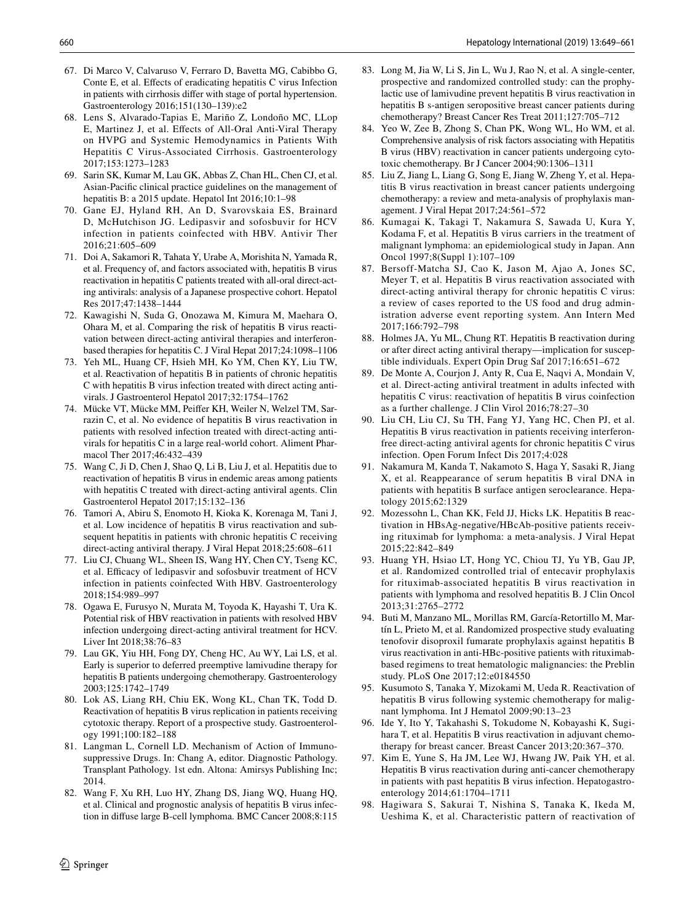- 67. Di Marco V, Calvaruso V, Ferraro D, Bavetta MG, Cabibbo G, Conte E, et al. Efects of eradicating hepatitis C virus Infection in patients with cirrhosis difer with stage of portal hypertension. Gastroenterology 2016;151(130–139):e2
- <span id="page-11-0"></span>68. Lens S, Alvarado-Tapias E, Mariño Z, Londoño MC, LLop E, Martinez J, et al. Efects of All-Oral Anti-Viral Therapy on HVPG and Systemic Hemodynamics in Patients With Hepatitis C Virus-Associated Cirrhosis. Gastroenterology 2017;153:1273–1283
- <span id="page-11-1"></span>69. Sarin SK, Kumar M, Lau GK, Abbas Z, Chan HL, Chen CJ, et al. Asian-Pacifc clinical practice guidelines on the management of hepatitis B: a 2015 update. Hepatol Int 2016;10:1-98
- <span id="page-11-2"></span>70. Gane EJ, Hyland RH, An D, Svarovskaia ES, Brainard D, McHutchison JG. Ledipasvir and sofosbuvir for HCV infection in patients coinfected with HBV. Antivir Ther 2016;21:605–609
- <span id="page-11-5"></span>71. Doi A, Sakamori R, Tahata Y, Urabe A, Morishita N, Yamada R, et al. Frequency of, and factors associated with, hepatitis B virus reactivation in hepatitis C patients treated with all-oral direct-acting antivirals: analysis of a Japanese prospective cohort. Hepatol Res 2017;47:1438–1444
- <span id="page-11-9"></span>72. Kawagishi N, Suda G, Onozawa M, Kimura M, Maehara O, Ohara M, et al. Comparing the risk of hepatitis B virus reactivation between direct-acting antiviral therapies and interferonbased therapies for hepatitis C. J Viral Hepat 2017;24:1098–1106
- <span id="page-11-6"></span>73. Yeh ML, Huang CF, Hsieh MH, Ko YM, Chen KY, Liu TW, et al. Reactivation of hepatitis B in patients of chronic hepatitis C with hepatitis B virus infection treated with direct acting antivirals. J Gastroenterol Hepatol 2017;32:1754–1762
- <span id="page-11-10"></span>74. Mücke VT, Mücke MM, Peifer KH, Weiler N, Welzel TM, Sarrazin C, et al. No evidence of hepatitis B virus reactivation in patients with resolved infection treated with direct-acting antivirals for hepatitis C in a large real-world cohort. Aliment Pharmacol Ther 2017;46:432–439
- <span id="page-11-7"></span>75. Wang C, Ji D, Chen J, Shao Q, Li B, Liu J, et al. Hepatitis due to reactivation of hepatitis B virus in endemic areas among patients with hepatitis C treated with direct-acting antiviral agents. Clin Gastroenterol Hepatol 2017;15:132–136
- <span id="page-11-8"></span>76. Tamori A, Abiru S, Enomoto H, Kioka K, Korenaga M, Tani J, et al. Low incidence of hepatitis B virus reactivation and subsequent hepatitis in patients with chronic hepatitis C receiving direct-acting antiviral therapy. J Viral Hepat 2018;25:608–611
- <span id="page-11-4"></span>77. Liu CJ, Chuang WL, Sheen IS, Wang HY, Chen CY, Tseng KC, et al. Efficacy of ledipasvir and sofosbuvir treatment of HCV infection in patients coinfected With HBV. Gastroenterology 2018;154:989–997
- <span id="page-11-3"></span>78. Ogawa E, Furusyo N, Murata M, Toyoda K, Hayashi T, Ura K. Potential risk of HBV reactivation in patients with resolved HBV infection undergoing direct-acting antiviral treatment for HCV. Liver Int 2018;38:76–83
- <span id="page-11-11"></span>79. Lau GK, Yiu HH, Fong DY, Cheng HC, Au WY, Lai LS, et al. Early is superior to deferred preemptive lamivudine therapy for hepatitis B patients undergoing chemotherapy. Gastroenterology 2003;125:1742–1749
- <span id="page-11-12"></span>80. Lok AS, Liang RH, Chiu EK, Wong KL, Chan TK, Todd D. Reactivation of hepatitis B virus replication in patients receiving cytotoxic therapy. Report of a prospective study. Gastroenterology 1991;100:182–188
- <span id="page-11-13"></span>81. Langman L, Cornell LD. Mechanism of Action of Immunosuppressive Drugs. In: Chang A, editor. Diagnostic Pathology. Transplant Pathology. 1st edn. Altona: Amirsys Publishing Inc; 2014.
- <span id="page-11-14"></span>82. Wang F, Xu RH, Luo HY, Zhang DS, Jiang WQ, Huang HQ, et al. Clinical and prognostic analysis of hepatitis B virus infection in difuse large B-cell lymphoma. BMC Cancer 2008;8:115
- <span id="page-11-15"></span>83. Long M, Jia W, Li S, Jin L, Wu J, Rao N, et al. A single-center, prospective and randomized controlled study: can the prophylactic use of lamivudine prevent hepatitis B virus reactivation in hepatitis B s-antigen seropositive breast cancer patients during chemotherapy? Breast Cancer Res Treat 2011;127:705–712
- <span id="page-11-16"></span>84. Yeo W, Zee B, Zhong S, Chan PK, Wong WL, Ho WM, et al. Comprehensive analysis of risk factors associating with Hepatitis B virus (HBV) reactivation in cancer patients undergoing cytotoxic chemotherapy. Br J Cancer 2004;90:1306–1311
- <span id="page-11-17"></span>85. Liu Z, Jiang L, Liang G, Song E, Jiang W, Zheng Y, et al. Hepatitis B virus reactivation in breast cancer patients undergoing chemotherapy: a review and meta-analysis of prophylaxis management. J Viral Hepat 2017;24:561–572
- <span id="page-11-18"></span>86. Kumagai K, Takagi T, Nakamura S, Sawada U, Kura Y, Kodama F, et al. Hepatitis B virus carriers in the treatment of malignant lymphoma: an epidemiological study in Japan. Ann Oncol 1997;8(Suppl 1):107–109
- <span id="page-11-19"></span>87. Bersoff-Matcha SJ, Cao K, Jason M, Ajao A, Jones SC, Meyer T, et al. Hepatitis B virus reactivation associated with direct-acting antiviral therapy for chronic hepatitis C virus: a review of cases reported to the US food and drug administration adverse event reporting system. Ann Intern Med 2017;166:792–798
- <span id="page-11-21"></span>88. Holmes JA, Yu ML, Chung RT. Hepatitis B reactivation during or after direct acting antiviral therapy—implication for susceptible individuals. Expert Opin Drug Saf 2017;16:651–672
- <span id="page-11-20"></span>89. De Monte A, Courjon J, Anty R, Cua E, Naqvi A, Mondain V, et al. Direct-acting antiviral treatment in adults infected with hepatitis C virus: reactivation of hepatitis B virus coinfection as a further challenge. J Clin Virol 2016;78:27–30
- <span id="page-11-22"></span>90. Liu CH, Liu CJ, Su TH, Fang YJ, Yang HC, Chen PJ, et al. Hepatitis B virus reactivation in patients receiving interferonfree direct-acting antiviral agents for chronic hepatitis C virus infection. Open Forum Infect Dis 2017;4:028
- <span id="page-11-23"></span>91. Nakamura M, Kanda T, Nakamoto S, Haga Y, Sasaki R, Jiang X, et al. Reappearance of serum hepatitis B viral DNA in patients with hepatitis B surface antigen seroclearance. Hepatology 2015;62:1329
- <span id="page-11-24"></span>92. Mozessohn L, Chan KK, Feld JJ, Hicks LK. Hepatitis B reactivation in HBsAg-negative/HBcAb-positive patients receiving rituximab for lymphoma: a meta-analysis. J Viral Hepat 2015;22:842–849
- <span id="page-11-30"></span>93. Huang YH, Hsiao LT, Hong YC, Chiou TJ, Yu YB, Gau JP, et al. Randomized controlled trial of entecavir prophylaxis for rituximab-associated hepatitis B virus reactivation in patients with lymphoma and resolved hepatitis B. J Clin Oncol 2013;31:2765–2772
- <span id="page-11-25"></span>94. Buti M, Manzano ML, Morillas RM, García-Retortillo M, Martín L, Prieto M, et al. Randomized prospective study evaluating tenofovir disoproxil fumarate prophylaxis against hepatitis B virus reactivation in anti-HBc-positive patients with rituximabbased regimens to treat hematologic malignancies: the Preblin study. PLoS One 2017;12:e0184550
- <span id="page-11-26"></span>95. Kusumoto S, Tanaka Y, Mizokami M, Ueda R. Reactivation of hepatitis B virus following systemic chemotherapy for malignant lymphoma. Int J Hematol 2009;90:13–23
- <span id="page-11-27"></span>96. Ide Y, Ito Y, Takahashi S, Tokudome N, Kobayashi K, Sugihara T, et al. Hepatitis B virus reactivation in adjuvant chemotherapy for breast cancer. Breast Cancer 2013;20:367–370.
- <span id="page-11-28"></span>97. Kim E, Yune S, Ha JM, Lee WJ, Hwang JW, Paik YH, et al. Hepatitis B virus reactivation during anti-cancer chemotherapy in patients with past hepatitis B virus infection. Hepatogastroenterology 2014;61:1704–1711
- <span id="page-11-29"></span>98. Hagiwara S, Sakurai T, Nishina S, Tanaka K, Ikeda M, Ueshima K, et al. Characteristic pattern of reactivation of